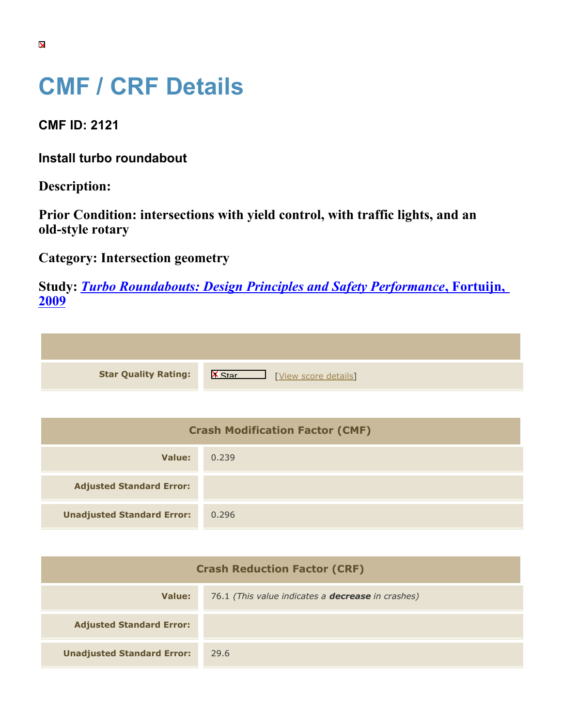## **CMF / CRF Details**

**CMF ID: 2121**

**Install turbo roundabout**

**Description:** 

**Prior Condition: intersections with yield control, with traffic lights, and an old-style rotary**

**Category: Intersection geometry**

**Study:** *[Turbo Roundabouts: Design Principles and Safety Performance](https://cmfclearinghouse.org/study_detail.cfm?stid=123)***[, Fortuijn,](https://cmfclearinghouse.org/study_detail.cfm?stid=123) [2009](https://cmfclearinghouse.org/study_detail.cfm?stid=123)**

| <b>Star Quality Rating:</b>            | <b>IX</b><br>[View score details] |
|----------------------------------------|-----------------------------------|
|                                        |                                   |
| <b>Crash Modification Factor (CMF)</b> |                                   |
| <b>Value:</b>                          | 0.239                             |

| value:                            | U.239 |
|-----------------------------------|-------|
| <b>Adjusted Standard Error:</b>   |       |
| <b>Unadjusted Standard Error:</b> | 0.296 |

| <b>Crash Reduction Factor (CRF)</b> |                                                          |
|-------------------------------------|----------------------------------------------------------|
| Value:                              | 76.1 (This value indicates a <b>decrease</b> in crashes) |
| <b>Adjusted Standard Error:</b>     |                                                          |
| <b>Unadjusted Standard Error:</b>   | 29.6                                                     |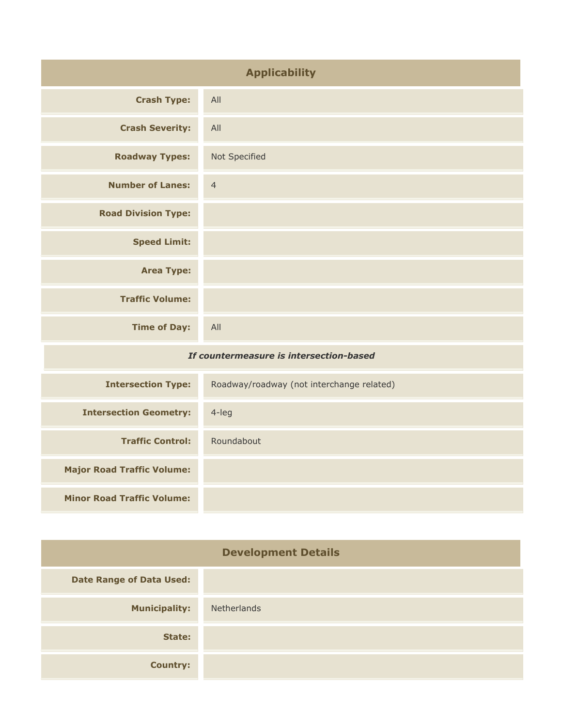| <b>Applicability</b>                    |                                           |
|-----------------------------------------|-------------------------------------------|
| <b>Crash Type:</b>                      | All                                       |
| <b>Crash Severity:</b>                  | All                                       |
| <b>Roadway Types:</b>                   | Not Specified                             |
| <b>Number of Lanes:</b>                 | $\overline{4}$                            |
| <b>Road Division Type:</b>              |                                           |
| <b>Speed Limit:</b>                     |                                           |
| <b>Area Type:</b>                       |                                           |
| <b>Traffic Volume:</b>                  |                                           |
| <b>Time of Day:</b>                     | All                                       |
| If countermeasure is intersection-based |                                           |
| <b>Intersection Type:</b>               | Roadway/roadway (not interchange related) |
|                                         |                                           |

| <b>Intersection Geometry:</b>     | $4$ -leg   |
|-----------------------------------|------------|
| <b>Traffic Control:</b>           | Roundabout |
| <b>Major Road Traffic Volume:</b> |            |
| <b>Minor Road Traffic Volume:</b> |            |

| <b>Development Details</b>      |                    |
|---------------------------------|--------------------|
| <b>Date Range of Data Used:</b> |                    |
| <b>Municipality:</b>            | <b>Netherlands</b> |
| State:                          |                    |
| <b>Country:</b>                 |                    |